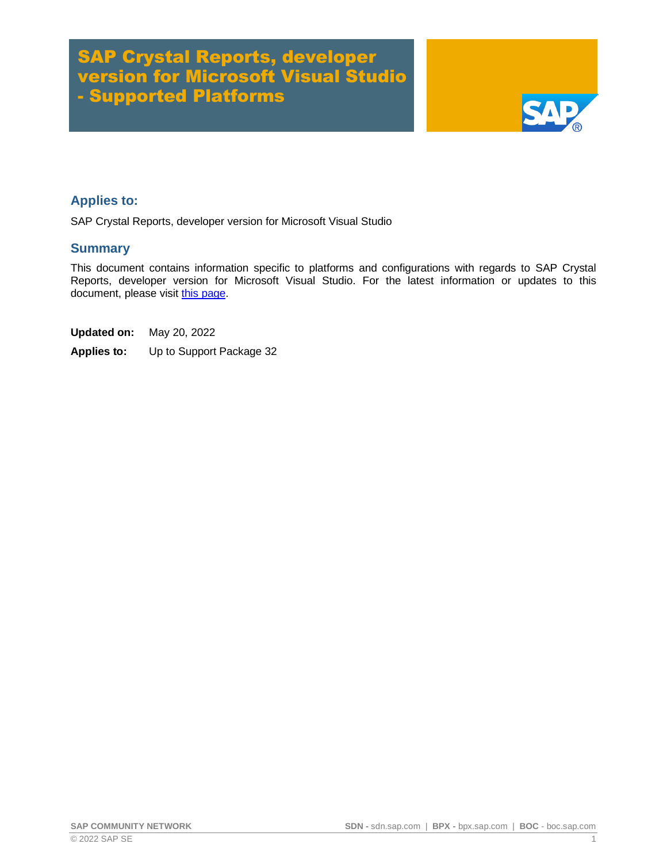# SAP Crystal Reports, developer version for Microsoft Visual Studio - Supported Platforms



### **Applies to:**

SAP Crystal Reports, developer version for Microsoft Visual Studio

#### **Summary**

This document contains information specific to platforms and configurations with regards to SAP Crystal Reports, developer version for Microsoft Visual Studio. For the latest information or updates to this document, please visit [this page.](http://scn.sap.com/docs/DOC-21990)

**Updated on:** May 20, 2022

**Applies to:** Up to Support Package 32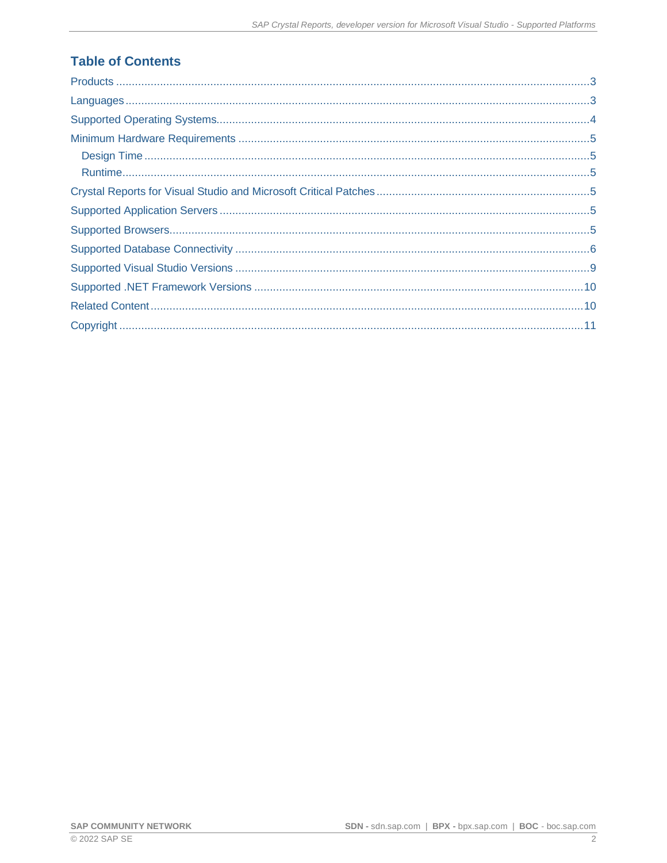## **Table of Contents**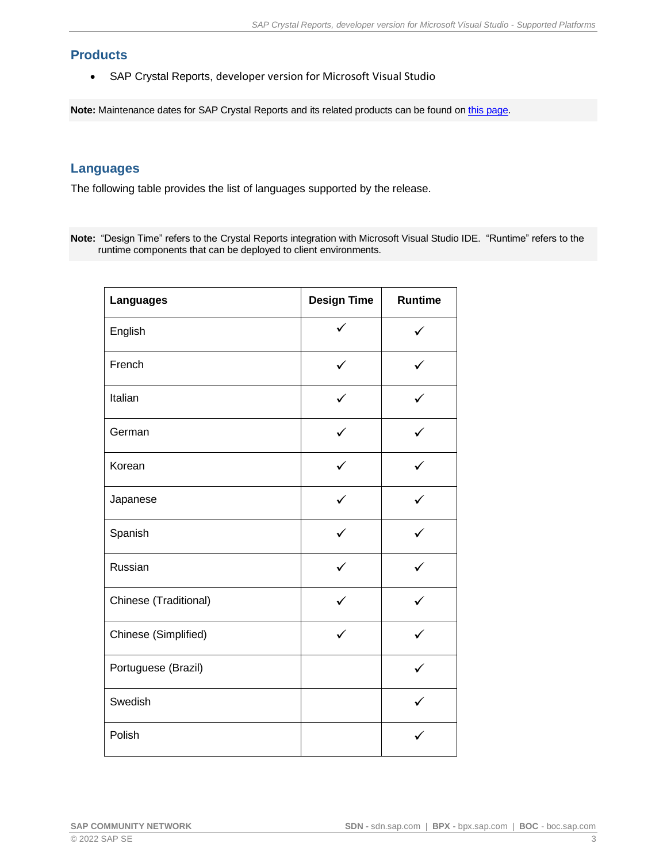### <span id="page-2-0"></span>**Products**

• SAP Crystal Reports, developer version for Microsoft Visual Studio

**Note:** Maintenance dates for SAP Crystal Reports and its related products can be found on [this page.](https://wiki.scn.sap.com/wiki/display/BOBJ/SAP+Crystal+Products+-+End+of+Mainstream+Maintenance+Dates)

### <span id="page-2-1"></span>**Languages**

The following table provides the list of languages supported by the release.

**Note:** "Design Time" refers to the Crystal Reports integration with Microsoft Visual Studio IDE. "Runtime" refers to the runtime components that can be deployed to client environments.

| <b>Languages</b>      | <b>Design Time</b> | <b>Runtime</b> |  |
|-----------------------|--------------------|----------------|--|
| English               | ✓                  |                |  |
| French                | ✓                  | ✓              |  |
| Italian               |                    |                |  |
| German                |                    |                |  |
| Korean                | ✓                  | $\checkmark$   |  |
| Japanese              |                    |                |  |
| Spanish               |                    |                |  |
| Russian               | ✓                  | ✓              |  |
| Chinese (Traditional) |                    |                |  |
| Chinese (Simplified)  |                    |                |  |
| Portuguese (Brazil)   |                    | $\checkmark$   |  |
| Swedish               |                    |                |  |
| Polish                |                    |                |  |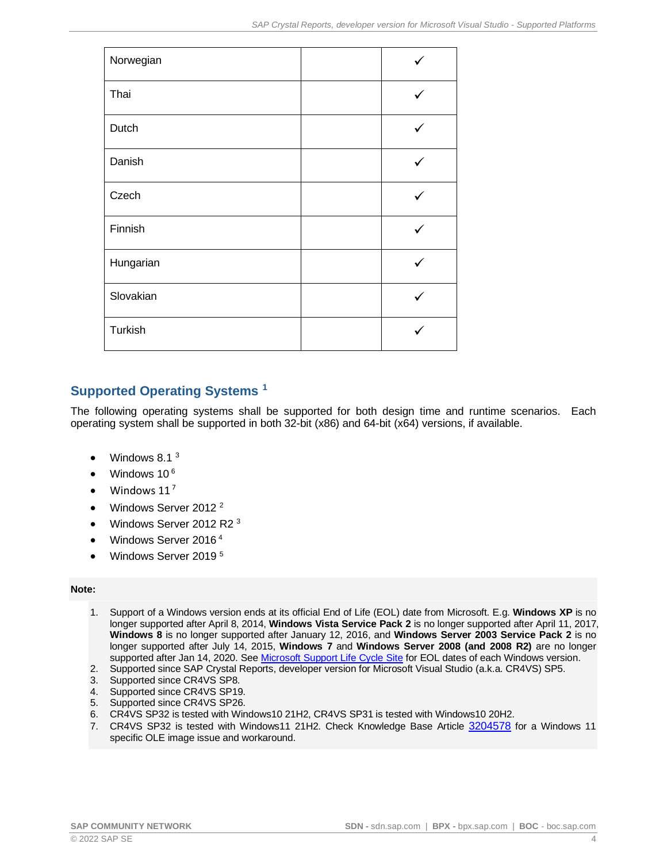| Norwegian |   |
|-----------|---|
| Thai      | ✓ |
| Dutch     | ✓ |
| Danish    |   |
| Czech     | ✓ |
| Finnish   |   |
| Hungarian |   |
| Slovakian |   |
| Turkish   |   |

## <span id="page-3-0"></span>**Supported Operating Systems <sup>1</sup>**

The following operating systems shall be supported for both design time and runtime scenarios. Each operating system shall be supported in both 32-bit (x86) and 64-bit (x64) versions, if available.

- Windows 8.1 <sup>3</sup>
- Windows 10<sup>6</sup>
- Windows  $11^7$
- Windows Server 2012 <sup>2</sup>
- Windows Server 2012 R2 <sup>3</sup>
- Windows Server 2016 <sup>4</sup>
- Windows Server 2019<sup>5</sup>

#### **Note:**

- 1. Support of a Windows version ends at its official End of Life (EOL) date from Microsoft. E.g. **Windows XP** is no longer supported after April 8, 2014, **Windows Vista Service Pack 2** is no longer supported after April 11, 2017, **Windows 8** is no longer supported after January 12, 2016, and **Windows Server 2003 Service Pack 2** is no longer supported after July 14, 2015, **Windows 7** and **Windows Server 2008 (and 2008 R2)** are no longer supported after Jan 14, 2020. Se[e Microsoft Support Life Cycle](https://support.microsoft.com/lifecycle) Site for EOL dates of each Windows version.
- 2. Supported since SAP Crystal Reports, developer version for Microsoft Visual Studio (a.k.a. CR4VS) SP5.
- 3. Supported since CR4VS SP8.
- 4. Supported since CR4VS SP19.
- 5. Supported since CR4VS SP26.
- 6. CR4VS SP32 is tested with Windows10 21H2, CR4VS SP31 is tested with Windows10 20H2.
- 7. CR4VS SP32 is tested with Windows11 21H2. Check Knowledge Base Article [3204578](https://launchpad.support.sap.com/#/notes/3204578) for a Windows 11 specific OLE image issue and workaround.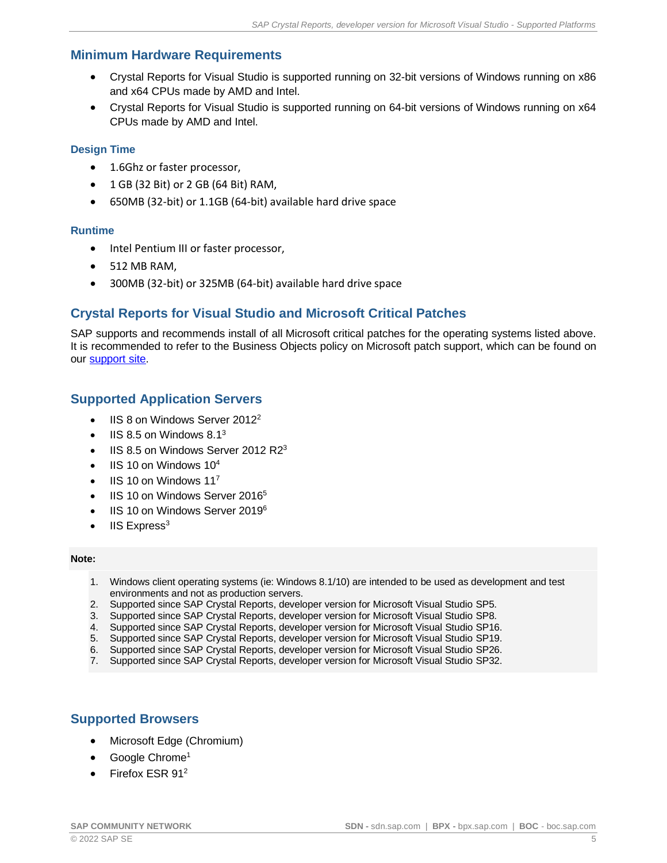### <span id="page-4-0"></span>**Minimum Hardware Requirements**

- Crystal Reports for Visual Studio is supported running on 32-bit versions of Windows running on x86 and x64 CPUs made by AMD and Intel.
- Crystal Reports for Visual Studio is supported running on 64-bit versions of Windows running on x64 CPUs made by AMD and Intel.

#### <span id="page-4-1"></span>**Design Time**

- 1.6Ghz or faster processor,
- 1 GB (32 Bit) or 2 GB (64 Bit) RAM,
- 650MB (32-bit) or 1.1GB (64-bit) available hard drive space

#### <span id="page-4-2"></span>**Runtime**

- Intel Pentium III or faster processor,
- 512 MB RAM,
- 300MB (32-bit) or 325MB (64-bit) available hard drive space

### <span id="page-4-3"></span>**Crystal Reports for Visual Studio and Microsoft Critical Patches**

SAP supports and recommends install of all Microsoft critical patches for the operating systems listed above. It is recommended to refer to the Business Objects policy on Microsoft patch support, which can be found on our [support site.](http://www.sdn.sap.com/irj/boc/articles)

### <span id="page-4-4"></span>**Supported Application Servers**

- IIS 8 on Windows Server 2012<sup>2</sup>
- $\text{IIS } 8.5$  on Windows  $8.1^3$
- IIS 8.5 on Windows Server 2012 R2<sup>3</sup>
- IIS 10 on Windows  $10<sup>4</sup>$
- $\bullet$  IIS 10 on Windows 11<sup>7</sup>
- IIS 10 on Windows Server 2016<sup>5</sup>
- IIS 10 on Windows Server 2019<sup>6</sup>
- $IIS$  Express<sup>3</sup>

#### **Note:**

- 1. Windows client operating systems (ie: Windows 8.1/10) are intended to be used as development and test environments and not as production servers.
- 2. Supported since SAP Crystal Reports, developer version for Microsoft Visual Studio SP5.
- 3. Supported since SAP Crystal Reports, developer version for Microsoft Visual Studio SP8.
- 4. Supported since SAP Crystal Reports, developer version for Microsoft Visual Studio SP16.
- 5. Supported since SAP Crystal Reports, developer version for Microsoft Visual Studio SP19.<br>6. Supported since SAP Crystal Reports, developer version for Microsoft Visual Studio SP26.
- 6. Supported since SAP Crystal Reports, developer version for Microsoft Visual Studio SP26.
- 7. Supported since SAP Crystal Reports, developer version for Microsoft Visual Studio SP32.

### <span id="page-4-5"></span>**Supported Browsers**

- Microsoft Edge (Chromium)
- Google Chrome<sup>1</sup>
- Firefox ESR 91<sup>2</sup>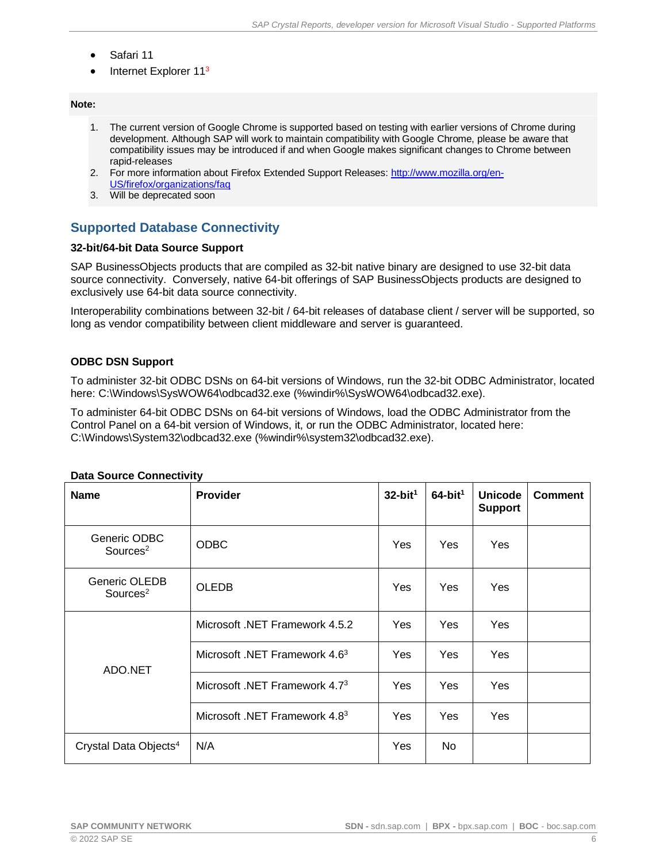- Safari 11
- Internet Explorer 11<sup>3</sup>

#### **Note:**

- 1. The current version of Google Chrome is supported based on testing with earlier versions of Chrome during development. Although SAP will work to maintain compatibility with Google Chrome, please be aware that compatibility issues may be introduced if and when Google makes significant changes to Chrome between rapid-releases
- 2. For more information about Firefox Extended Support Releases: [http://www.mozilla.org/en-](http://www.mozilla.org/en-US/firefox/organizations/faq)[US/firefox/organizations/faq](http://www.mozilla.org/en-US/firefox/organizations/faq)
- 3. Will be deprecated soon

### <span id="page-5-0"></span>**Supported Database Connectivity**

#### **32-bit/64-bit Data Source Support**

SAP BusinessObjects products that are compiled as 32-bit native binary are designed to use 32-bit data source connectivity. Conversely, native 64-bit offerings of SAP BusinessObjects products are designed to exclusively use 64-bit data source connectivity.

Interoperability combinations between 32-bit / 64-bit releases of database client / server will be supported, so long as vendor compatibility between client middleware and server is guaranteed.

#### **ODBC DSN Support**

To administer 32-bit ODBC DSNs on 64-bit versions of Windows, run the 32-bit ODBC Administrator, located here: C:\Windows\SysWOW64\odbcad32.exe (%windir%\SysWOW64\odbcad32.exe).

To administer 64-bit ODBC DSNs on 64-bit versions of Windows, load the ODBC Administrator from the Control Panel on a 64-bit version of Windows, it, or run the ODBC Administrator, located here: C:\Windows\System32\odbcad32.exe (%windir%\system32\odbcad32.exe).

| <b>Name</b>                           | <b>Provider</b>                           | $32$ -bit <sup>1</sup> | $64$ -bit <sup>1</sup> | <b>Unicode</b><br><b>Support</b> | <b>Comment</b> |
|---------------------------------------|-------------------------------------------|------------------------|------------------------|----------------------------------|----------------|
| Generic ODBC<br>Sources <sup>2</sup>  | <b>ODBC</b>                               | Yes                    | Yes                    | Yes                              |                |
| Generic OLEDB<br>Sources <sup>2</sup> | <b>OLEDB</b>                              | Yes                    | Yes                    | Yes                              |                |
| ADO.NET                               | Microsoft .NET Framework 4.5.2            | <b>Yes</b>             | <b>Yes</b>             | Yes                              |                |
|                                       | Microsoft .NET Framework 4.6 <sup>3</sup> | Yes                    | <b>Yes</b>             | Yes                              |                |
|                                       | Microsoft .NET Framework 4.7 <sup>3</sup> | Yes                    | Yes                    | Yes                              |                |
|                                       | Microsoft .NET Framework 4.8 <sup>3</sup> | Yes                    | Yes                    | Yes                              |                |
| Crystal Data Objects <sup>4</sup>     | N/A                                       | <b>Yes</b>             | No                     |                                  |                |

#### **Data Source Connectivity**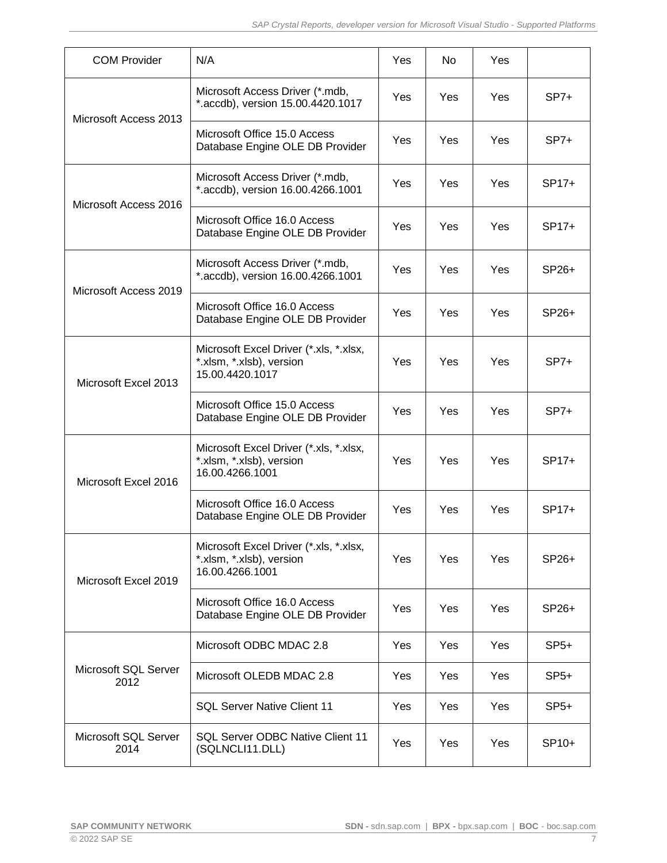| <b>COM Provider</b>          | N/A                                                                                   | Yes        | No.        | Yes |         |
|------------------------------|---------------------------------------------------------------------------------------|------------|------------|-----|---------|
| Microsoft Access 2013        | Microsoft Access Driver (*.mdb,<br>*.accdb), version 15.00.4420.1017                  | Yes        | <b>Yes</b> | Yes | $SP7+$  |
|                              | Microsoft Office 15.0 Access<br>Database Engine OLE DB Provider                       | Yes        | Yes        | Yes | $SP7+$  |
| Microsoft Access 2016        | Microsoft Access Driver (*.mdb,<br>*.accdb), version 16.00.4266.1001                  | Yes        | Yes        | Yes | SP17+   |
|                              | Microsoft Office 16.0 Access<br>Database Engine OLE DB Provider                       | <b>Yes</b> | <b>Yes</b> | Yes | $SP17+$ |
| Microsoft Access 2019        | Microsoft Access Driver (*.mdb,<br>*.accdb), version 16.00.4266.1001                  | Yes        | Yes        | Yes | SP26+   |
|                              | Microsoft Office 16.0 Access<br>Database Engine OLE DB Provider                       | <b>Yes</b> | Yes        | Yes | SP26+   |
| Microsoft Excel 2013         | Microsoft Excel Driver (*.xls, *.xlsx,<br>*.xlsm, *.xlsb), version<br>15.00.4420.1017 | Yes        | Yes        | Yes | $SP7+$  |
|                              | Microsoft Office 15.0 Access<br>Database Engine OLE DB Provider                       | Yes        | Yes        | Yes | $SP7+$  |
| Microsoft Excel 2016         | Microsoft Excel Driver (*.xls, *.xlsx,<br>*.xlsm, *.xlsb), version<br>16.00.4266.1001 | <b>Yes</b> | <b>Yes</b> | Yes | $SP17+$ |
|                              | Microsoft Office 16.0 Access<br>Database Engine OLE DB Provider                       | Yes        | Yes        | Yes | SP17+   |
| Microsoft Excel 2019         | Microsoft Excel Driver (*.xls, *.xlsx,<br>*.xlsm, *.xlsb), version<br>16.00.4266.1001 | Yes        | Yes        | Yes | SP26+   |
|                              | Microsoft Office 16.0 Access<br>Database Engine OLE DB Provider                       | Yes        | Yes        | Yes | SP26+   |
| Microsoft SQL Server<br>2012 | Microsoft ODBC MDAC 2.8                                                               | Yes        | <b>Yes</b> | Yes | $SP5+$  |
|                              | Microsoft OLEDB MDAC 2.8                                                              | <b>Yes</b> | <b>Yes</b> | Yes | $SP5+$  |
|                              | <b>SQL Server Native Client 11</b>                                                    | Yes        | Yes        | Yes | $SP5+$  |
| Microsoft SQL Server<br>2014 | <b>SQL Server ODBC Native Client 11</b><br>(SQLNCLI11.DLL)                            | Yes        | Yes        | Yes | SP10+   |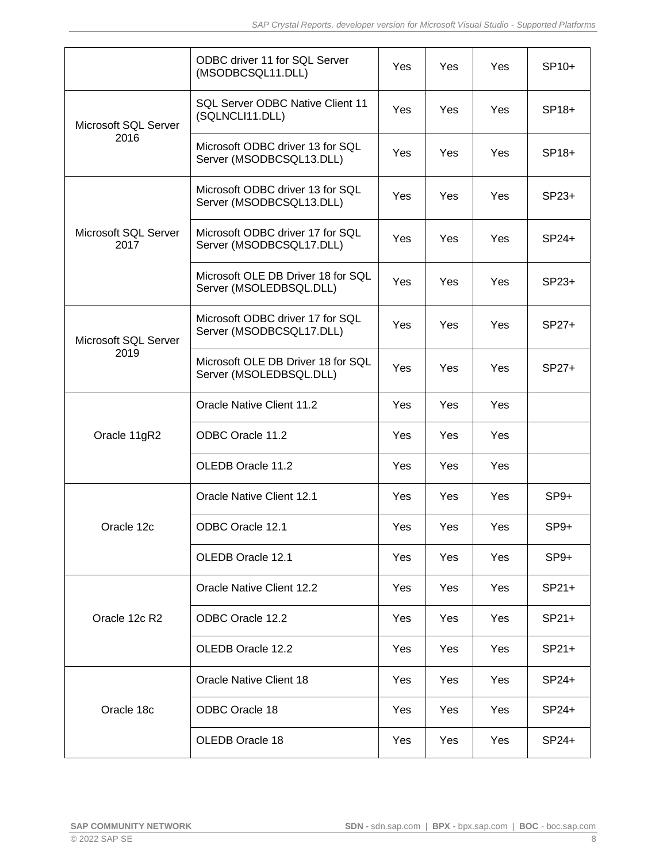|                              | ODBC driver 11 for SQL Server<br>(MSODBCSQL11.DLL)            | Yes        | Yes        | Yes | $SP10+$ |
|------------------------------|---------------------------------------------------------------|------------|------------|-----|---------|
| Microsoft SQL Server<br>2016 | <b>SQL Server ODBC Native Client 11</b><br>(SQLNCLI11.DLL)    | Yes        | Yes        | Yes | SP18+   |
|                              | Microsoft ODBC driver 13 for SQL<br>Server (MSODBCSQL13.DLL)  | Yes        | Yes        | Yes | SP18+   |
|                              | Microsoft ODBC driver 13 for SQL<br>Server (MSODBCSQL13.DLL)  | Yes        | Yes        | Yes | $SP23+$ |
| Microsoft SQL Server<br>2017 | Microsoft ODBC driver 17 for SQL<br>Server (MSODBCSQL17.DLL)  | Yes        | Yes        | Yes | $SP24+$ |
|                              | Microsoft OLE DB Driver 18 for SQL<br>Server (MSOLEDBSQL.DLL) | Yes        | <b>Yes</b> | Yes | $SP23+$ |
| Microsoft SQL Server         | Microsoft ODBC driver 17 for SQL<br>Server (MSODBCSQL17.DLL)  | Yes        | Yes        | Yes | SP27+   |
| 2019                         | Microsoft OLE DB Driver 18 for SQL<br>Server (MSOLEDBSQL.DLL) | Yes        | Yes        | Yes | SP27+   |
|                              | Oracle Native Client 11.2                                     | Yes        | Yes        | Yes |         |
| Oracle 11gR2                 | ODBC Oracle 11.2                                              | Yes        | Yes        | Yes |         |
|                              | OLEDB Oracle 11.2                                             | Yes        | Yes        | Yes |         |
|                              | <b>Oracle Native Client 12.1</b>                              | Yes        | Yes        | Yes | $SP9+$  |
| Oracle 12c                   | ODBC Oracle 12.1                                              | <b>Yes</b> | Yes        | Yes | $SP9+$  |
|                              | OLEDB Oracle 12.1                                             | Yes        | Yes        | Yes | $SP9+$  |
|                              | Oracle Native Client 12.2                                     | Yes        | Yes        | Yes | $SP21+$ |
| Oracle 12c R2                | ODBC Oracle 12.2                                              | Yes        | <b>Yes</b> | Yes | $SP21+$ |
|                              | OLEDB Oracle 12.2                                             | <b>Yes</b> | Yes        | Yes | $SP21+$ |
| Oracle 18c                   | Oracle Native Client 18                                       | Yes        | Yes        | Yes | SP24+   |
|                              | <b>ODBC Oracle 18</b>                                         | <b>Yes</b> | <b>Yes</b> | Yes | $SP24+$ |
|                              | OLEDB Oracle 18                                               | Yes        | Yes        | Yes | SP24+   |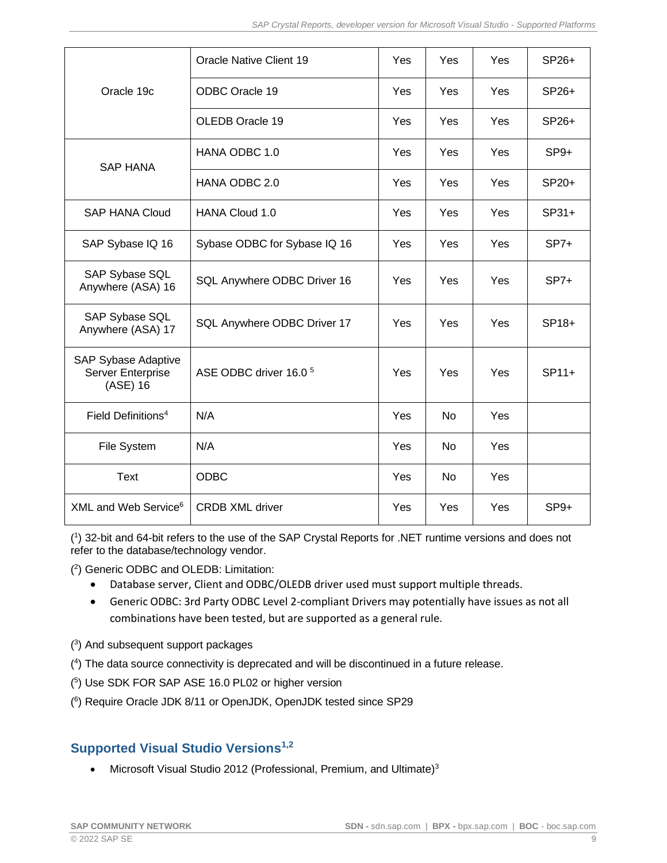| Oracle 19c                                                         | <b>Oracle Native Client 19</b>    | Yes | Yes            | Yes | SP26+   |
|--------------------------------------------------------------------|-----------------------------------|-----|----------------|-----|---------|
|                                                                    | ODBC Oracle 19                    | Yes | Yes            | Yes | SP26+   |
|                                                                    | OLEDB Oracle 19                   | Yes | Yes            | Yes | SP26+   |
| <b>SAP HANA</b>                                                    | HANA ODBC 1.0                     | Yes | Yes            | Yes | $SP9+$  |
|                                                                    | HANA ODBC 2.0                     | Yes | Yes            | Yes | SP20+   |
| <b>SAP HANA Cloud</b>                                              | <b>HANA Cloud 1.0</b>             | Yes | Yes            | Yes | $SP31+$ |
| SAP Sybase IQ 16                                                   | Sybase ODBC for Sybase IQ 16      | Yes | Yes            | Yes | $SP7+$  |
| SAP Sybase SQL<br>Anywhere (ASA) 16                                | SQL Anywhere ODBC Driver 16       | Yes | Yes            | Yes | $SP7+$  |
| SAP Sybase SQL<br>Anywhere (ASA) 17                                | SQL Anywhere ODBC Driver 17       | Yes | Yes            | Yes | SP18+   |
| <b>SAP Sybase Adaptive</b><br><b>Server Enterprise</b><br>(ASE) 16 | ASE ODBC driver 16.0 <sup>5</sup> | Yes | Yes            | Yes | $SP11+$ |
| Field Definitions <sup>4</sup>                                     | N/A                               | Yes | <b>No</b>      | Yes |         |
| File System                                                        | N/A                               | Yes | N <sub>o</sub> | Yes |         |
| <b>Text</b>                                                        | <b>ODBC</b>                       | Yes | <b>No</b>      | Yes |         |
| XML and Web Service <sup>6</sup>                                   | <b>CRDB XML driver</b>            | Yes | Yes            | Yes | $SP9+$  |

( 1 ) 32-bit and 64-bit refers to the use of the SAP Crystal Reports for .NET runtime versions and does not refer to the database/technology vendor.

( 2 ) Generic ODBC and OLEDB: Limitation:

- Database server, Client and ODBC/OLEDB driver used must support multiple threads.
- Generic ODBC: 3rd Party ODBC Level 2-compliant Drivers may potentially have issues as not all combinations have been tested, but are supported as a general rule.
- ( 3 ) And subsequent support packages
- ( 4 ) The data source connectivity is deprecated and will be discontinued in a future release.
- ( 5 ) Use SDK FOR SAP ASE 16.0 PL02 or higher version
- ( 6 ) Require Oracle JDK 8/11 or OpenJDK, OpenJDK tested since SP29

## <span id="page-8-0"></span>**Supported Visual Studio Versions1,2**

• Microsoft Visual Studio 2012 (Professional, Premium, and Ultimate)<sup>3</sup>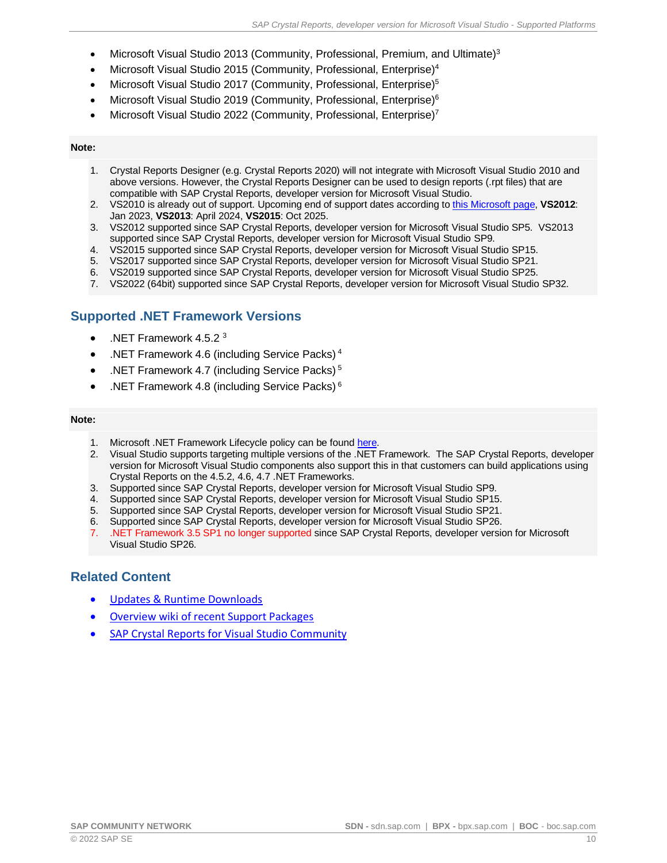- Microsoft Visual Studio 2013 (Community, Professional, Premium, and Ultimate)<sup>3</sup>
- Microsoft Visual Studio 2015 (Community, Professional, Enterprise)<sup>4</sup>
- Microsoft Visual Studio 2017 (Community, Professional, Enterprise)<sup>5</sup>
- Microsoft Visual Studio 2019 (Community, Professional, Enterprise)<sup>6</sup>
- Microsoft Visual Studio 2022 (Community, Professional, Enterprise)<sup>7</sup>

#### **Note:**

- 1. Crystal Reports Designer (e.g. Crystal Reports 2020) will not integrate with Microsoft Visual Studio 2010 and above versions. However, the Crystal Reports Designer can be used to design reports (.rpt files) that are compatible with SAP Crystal Reports, developer version for Microsoft Visual Studio.
- 2. VS2010 is already out of support. Upcoming end of support dates according to this [Microsoft](https://docs.microsoft.com/en-us/visualstudio/releases/2019/servicing-vs2019#support-for-older-versions-of-visual-studio) page, **VS2012**: Jan 2023, **VS2013**: April 2024, **VS2015**: Oct 2025.
- 3. VS2012 supported since SAP Crystal Reports, developer version for Microsoft Visual Studio SP5. VS2013 supported since SAP Crystal Reports, developer version for Microsoft Visual Studio SP9.
- 4. VS2015 supported since SAP Crystal Reports, developer version for Microsoft Visual Studio SP15.
- 5. VS2017 supported since SAP Crystal Reports, developer version for Microsoft Visual Studio SP21.
- 6. VS2019 supported since SAP Crystal Reports, developer version for Microsoft Visual Studio SP25.
- 7. VS2022 (64bit) supported since SAP Crystal Reports, developer version for Microsoft Visual Studio SP32.

### <span id="page-9-0"></span>**Supported .NET Framework Versions**

- .NET Framework 4.5.2 <sup>3</sup>
- .NET Framework 4.6 (including Service Packs) <sup>4</sup>
- .NET Framework 4.7 (including Service Packs) <sup>5</sup>
- .NET Framework 4.8 (including Service Packs)<sup>6</sup>

#### **Note:**

- 1. Microsoft .NET Framework Lifecycle policy can be found [here.](https://support.microsoft.com/en-us/lifecycle?wa=wsignin1.0#gp/Framework_FAQ)
- 2. Visual Studio supports targeting multiple versions of the .NET Framework. The SAP Crystal Reports, developer version for Microsoft Visual Studio components also support this in that customers can build applications using Crystal Reports on the 4.5.2, 4.6, 4.7 .NET Frameworks.
- 3. Supported since SAP Crystal Reports, developer version for Microsoft Visual Studio SP9.
- 4. Supported since SAP Crystal Reports, developer version for Microsoft Visual Studio SP15.
- 
- 5. Supported since SAP Crystal Reports, developer version for Microsoft Visual Studio SP21.<br>6. Supported since SAP Crystal Reports, developer version for Microsoft Visual Studio SP26. 6. Supported since SAP Crystal Reports, developer version for Microsoft Visual Studio SP26.
- 7. .NET Framework 3.5 SP1 no longer supported since SAP Crystal Reports, developer version for Microsoft Visual Studio SP26.

#### <span id="page-9-1"></span>**Related Content**

- [Updates & Runtime Downloads](https://www.crystalreports.com/crystal-reports-visual-studio/)
- [Overview wiki of recent Support Packages](https://wiki.scn.sap.com/wiki/display/BOBJ/Crystal+Reports%2C+Developer+for+Visual+Studio+Downloads)
- [SAP Crystal Reports for Visual Studio](http://scn.sap.com/community/crystal-reports-for-visual-studio) Community